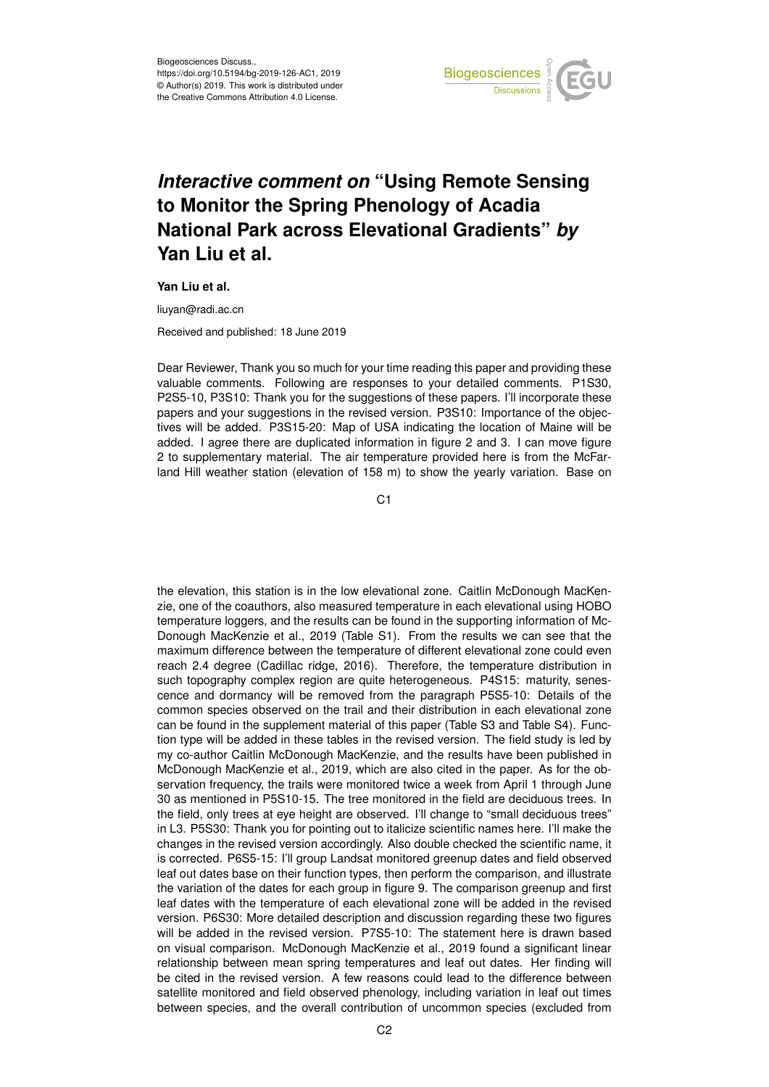

## *Interactive comment on* **"Using Remote Sensing to Monitor the Spring Phenology of Acadia National Park across Elevational Gradients"** *by* **Yan Liu et al.**

**Yan Liu et al.**

liuyan@radi.ac.cn

Received and published: 18 June 2019

Dear Reviewer, Thank you so much for your time reading this paper and providing these valuable comments. Following are responses to your detailed comments. P1S30, P2S5-10, P3S10: Thank you for the suggestions of these papers. I'll incorporate these papers and your suggestions in the revised version. P3S10: Importance of the objectives will be added. P3S15-20: Map of USA indicating the location of Maine will be added. I agree there are duplicated information in figure 2 and 3. I can move figure 2 to supplementary material. The air temperature provided here is from the McFarland Hill weather station (elevation of 158 m) to show the yearly variation. Base on

C1

the elevation, this station is in the low elevational zone. Caitlin McDonough MacKenzie, one of the coauthors, also measured temperature in each elevational using HOBO temperature loggers, and the results can be found in the supporting information of Mc-Donough MacKenzie et al., 2019 (Table S1). From the results we can see that the maximum difference between the temperature of different elevational zone could even reach 2.4 degree (Cadillac ridge, 2016). Therefore, the temperature distribution in such topography complex region are quite heterogeneous. P4S15: maturity, senescence and dormancy will be removed from the paragraph P5S5-10: Details of the common species observed on the trail and their distribution in each elevational zone can be found in the supplement material of this paper (Table S3 and Table S4). Function type will be added in these tables in the revised version. The field study is led by my co-author Caitlin McDonough MacKenzie, and the results have been published in McDonough MacKenzie et al., 2019, which are also cited in the paper. As for the observation frequency, the trails were monitored twice a week from April 1 through June 30 as mentioned in P5S10-15. The tree monitored in the field are deciduous trees. In the field, only trees at eye height are observed. I'll change to "small deciduous trees" in L3. P5S30: Thank you for pointing out to italicize scientific names here. I'll make the changes in the revised version accordingly. Also double checked the scientific name, it is corrected. P6S5-15: I'll group Landsat monitored greenup dates and field observed leaf out dates base on their function types, then perform the comparison, and illustrate the variation of the dates for each group in figure 9. The comparison greenup and first leaf dates with the temperature of each elevational zone will be added in the revised version. P6S30: More detailed description and discussion regarding these two figures will be added in the revised version. P7S5-10: The statement here is drawn based on visual comparison. McDonough MacKenzie et al., 2019 found a significant linear relationship between mean spring temperatures and leaf out dates. Her finding will be cited in the revised version. A few reasons could lead to the difference between satellite monitored and field observed phenology, including variation in leaf out times between species, and the overall contribution of uncommon species (excluded from